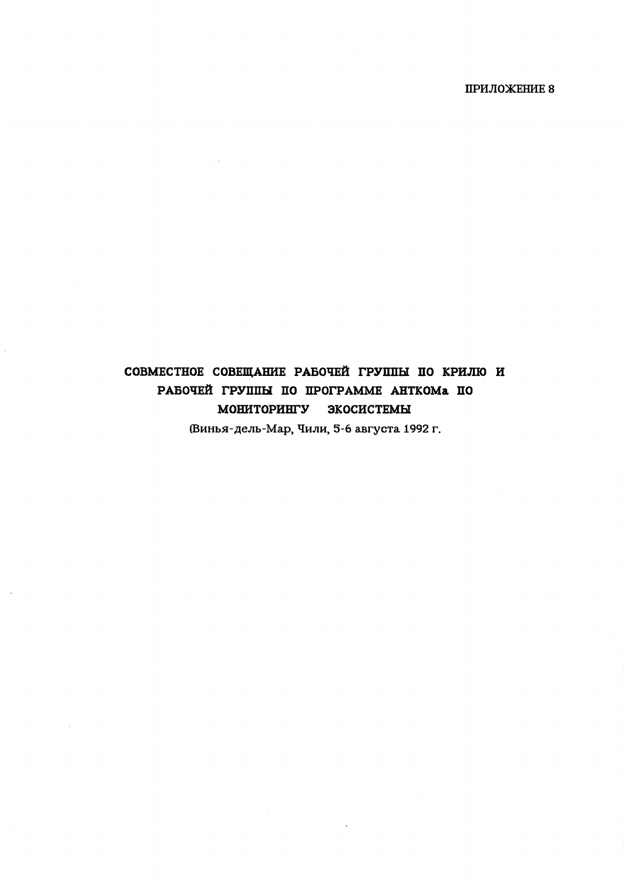# СОВМЕСТНОЕ СОВЕЩАНИЕ РАБОЧЕЙ ГРУППЫ ПО КРИЛЮ И РАБОЧЕЙ ГРУППЫ ПО ПРОГРАММЕ АНТКОМА ПО мониторингу экосистемы

(Винья-дель-Мар, Чили, 5-6 августа 1992 г.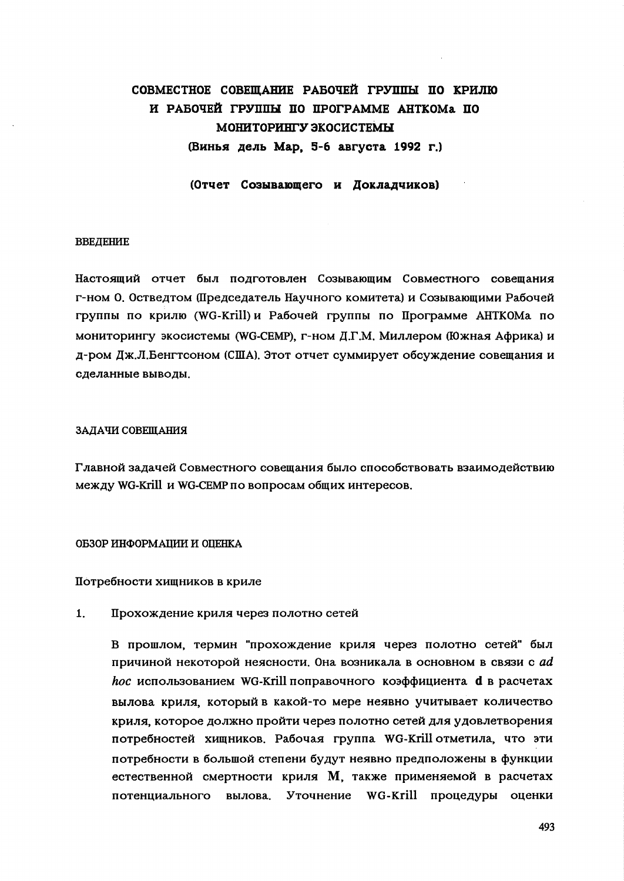## СОВМЕСТНОЕ СОВЕШАНИЕ РАБОЧЕЙ ГРУППЫ ПО КРИЛЮ И РАБОЧЕЙ ГРУППЫ ПО ПРОГРАММЕ АНТКОМА ПО МОНИТОРИНГУ ЭКОСИСТЕМЫ (Винья дель Мар. 5-6 августа 1992 г.)

(Отчет Созывающего и Докладчиков)

### **ВВЕДЕНИЕ**

Настоящий отчет был подготовлен Созывающим Совместного совещания г-ном О. Остведтом (Председатель Научного комитета) и Созывающими Рабочей группы по крилю (WG-Krill) и Рабочей группы по Программе АНТКОМа по мониторингу экосистемы (WG-CEMP), г-ном Д.Г.М. Миллером (Южная Африка) и д-ром Дж.Л.Бенгтсоном (США). Этот отчет суммирует обсуждение совещания и сделанные выводы.

### ЗАДАЧИ СОВЕЩАНИЯ

Главной задачей Совместного совещания было способствовать взаимодействию между WG-Krill и WG-CEMP по вопросам общих интересов.

### ОБЗОР ИНФОРМАЦИИ И ОЦЕНКА

Потребности хищников в криле

 $1.$ Прохождение криля через полотно сетей

> В прошлом, термин "прохождение криля через полотно сетей" был причиной некоторой неясности. Она возникала в основном в связи с ad *hoc* использованием WG-Krill поправочного коэффициента **d** в расчетах вылова криля, который в какой-то мере неявно учитывает количество криля, которое должно пройти через полотно сетей для удовлетворения потребностей хищников. Рабочая группа WG-Krill отметила, что эти потребности в большой степени будут неявно предположены в функции естественной смертности криля М, также применяемой в расчетах потенциального вылова. Уточнение WG-Krill процедуры оценки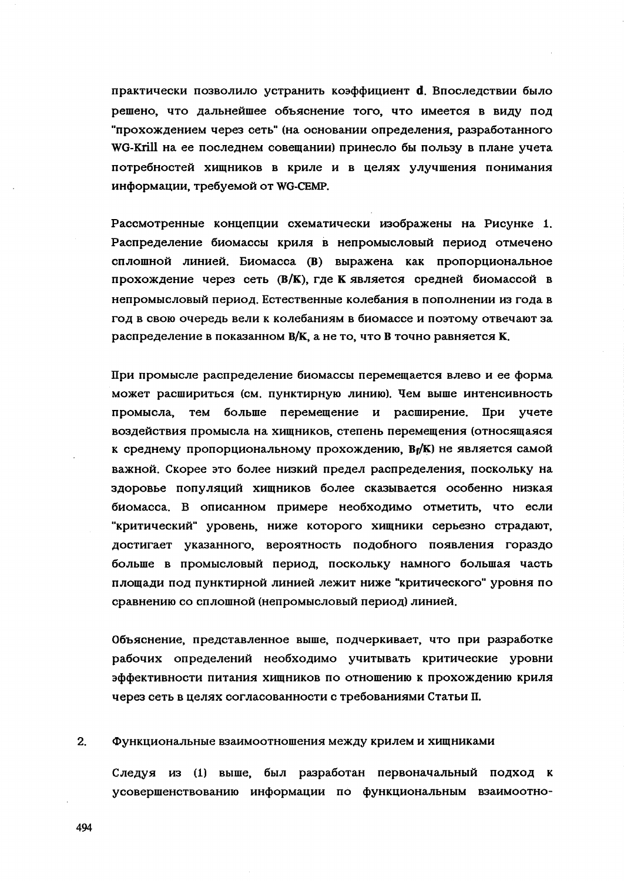практически позволило устранить коэффициент d. Впоследствии было решено, что дальнейшее объяснение того, что имеется в виду под "прохождением через сеть" (на основании определения, разработанного WG-Krill на ее последнем совещании) принесло бы пользу в плане учета потребностей хищников в криле и в целях улучшения понимания информации, требуемой от WG-CEMP.

Рассмотренные концепции схематически изображены на Рисунке 1. Распределение биомассы криля в непромысловый период отмечено сплошной линией. Биомасса (B) выражена как пропорциональное прохождение через сеть (B/K), где К является средней биомассой в непромысловый период. Естественные колебания в пополнении из года в год в свою очередь вели к колебаниям в биомассе и поэтому отвечают за распределение в показанном В/К, а не то, что В точно равняется К.

При промысле распределение биомассы перемещается влево и ее форма может расшириться (см. пунктирную линию). Чем выше интенсивность промысла. тем больше перемещение и расширение. При учете воздействия промысла на хищников, степень перемещения (относящаяся к среднему пропорциональному прохождению, ВрК) не является самой важной. Скорее это более низкий предел распределения, поскольку на здоровье популяций хищников более сказывается особенно низкая биомасса. В описанном примере необходимо отметить, что если "критический" уровень, ниже которого хищники серьезно страдают, достигает указанного, вероятность подобного появления гораздо больше в промысловый период, поскольку намного большая часть площади под пунктирной линией лежит ниже "критического" уровня по сравнению со сплошной (непромысловый период) линией.

Объяснение, представленное выше, подчеркивает, что при разработке рабочих определений необходимо учитывать критические уровни эффективности питания хищников по отношению к прохождению криля через сеть в целях согласованности с требованиями Статьи II.

#### $2<sub>1</sub>$ Функциональные взаимоотношения между крилем и хищниками

Следуя из (1) выше, был разработан первоначальный подход к усовершенствованию информации по функциональным взаимоотно-

494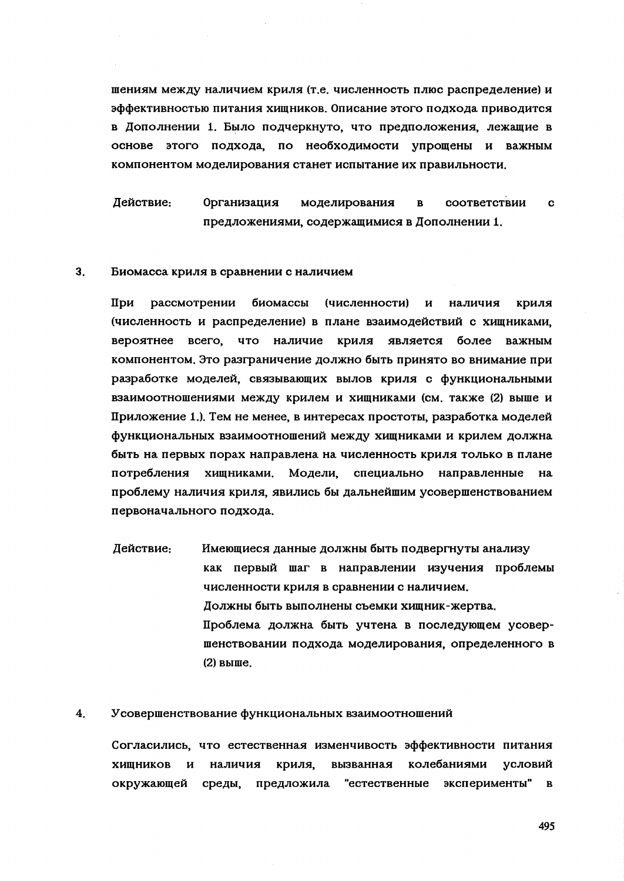шениям между наличием криля (т.е. численность плюс распределение) и эффективностью питания хищников. Описание этого подхода приводится в Дополнении 1. Было подчеркнуто, что предположения, лежащие в основе этого подхода, по необходимости упрощены и важным компонентом моделирования станет испытание их правильности.

Действие: **Организация COOTRETCTBULL** моделирования  $\mathbf{R}$  $\mathbf{c}$ предложениями, содержащимися в Дополнении 1.

#### $3<sup>1</sup>$ Биомасса криля в сравнении с наличием

При рассмотрении биомассы (численности)  $\mathbf{H}$ наличия криля (численность и распределение) в плане взаимодействий с хищниками, вероятнее всего. наличие криля является более важным что компонентом. Это разграничение должно быть принято во внимание при разработке моделей, связывающих вылов криля с функциональными взаимоотношениями между крилем и хищниками (см. также (2) выше и Приложение 1.). Тем не менее, в интересах простоты, разработка моделей функциональных взаимоотношений между хищниками и крилем должна быть на первых порах направлена на численность криля только в плане потребления хищниками. Модели, специально направленные на проблему наличия криля, явились бы дальнейшим усовершенствованием первоначального подхода.

Действие: Имеющиеся данные должны быть подвергнуты анализу как первый шаг в направлении изучения проблемы численности криля в сравнении с наличием. Должны быть выполнены съемки хищник-жертва. Проблема должна быть учтена в последующем усовершенствовании подхода моделирования, определенного в  $(2)$  выше.

#### $\overline{4}$ . Усовершенствование функциональных взаимоотношений

Согласились, что естественная изменчивость эффективности питания ХИШНИКОВ наличия криля. вызванная колебаниями условий И окружающей предложила "естественные эксперименты" в среды,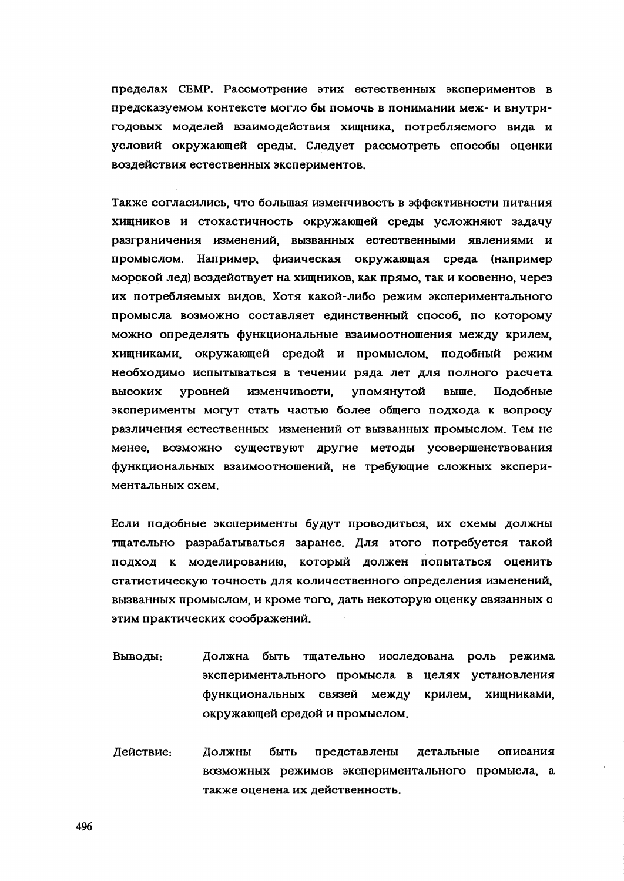пределах СЕМР. Рассмотрение этих естественных экспериментов в предсказуемом контексте могло бы помочь в понимании меж- и внутригодовых моделей взаимодействия хищника, потребляемого вида и условий окружающей среды. Следует рассмотреть способы оценки воздействия естественных экспериментов.

Также согласились, что большая изменчивость в эффективности питания хищников и стохастичность окружающей среды усложняют задачу разграничения изменений, вызванных естественными явлениями и промыслом. Например. физическая окружающая среда (например морской лед) воздействует на хищников, как прямо, так и косвенно, через их потребляемых видов. Хотя какой-либо режим экспериментального промысла возможно составляет единственный способ, по которому можно определять функциональные взаимоотношения между крилем. хищниками, окружающей средой и промыслом, подобный режим необходимо испытываться в течении ряда лет для полного расчета изменчивости. упомянутой выше. высоких уровней Подобные эксперименты могут стать частью более общего подхода к вопросу различения естественных изменений от вызванных промыслом. Тем не менее, возможно существуют другие методы усовершенствования функциональных взаимоотношений, не требующие сложных экспериментальных схем.

Если подобные эксперименты будут проводиться, их схемы должны тщательно разрабатываться заранее. Для этого потребуется такой подход к моделированию, который должен попытаться оценить статистическую точность для количественного определения изменений, вызванных промыслом, и кроме того, дать некоторую оценку связанных с этим практических соображений.

- Выводы: Должна быть тщательно исследована роль режима экспериментального промысла в целях установления функциональных связей между крилем, хищниками, окружающей средой и промыслом.
- Действие: Должны быть представлены детальные описания возможных режимов экспериментального промысла, а также оценена их действенность.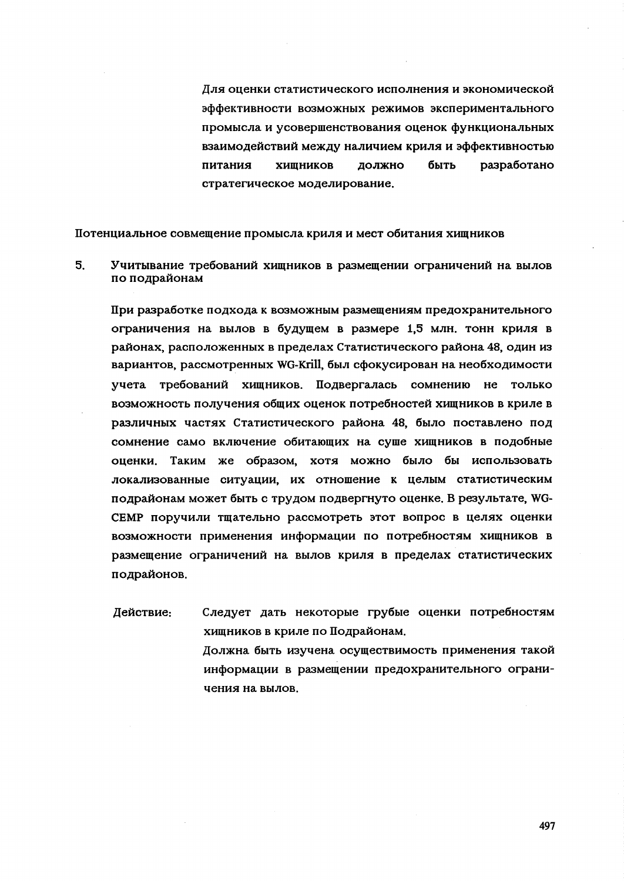Для оценки статистического исполнения и экономической эффективности возможных режимов экспериментального промысла и усовершенствования оценок функциональных взаимодействий между наличием криля и эффективностью питания ХИШНИКОВ ДОЛЖНО быть разработано стратегическое моделирование.

Потенциальное совмещение промысла криля и мест обитания хищников

 $5<sub>1</sub>$ Учитывание требований хищников в размещении ограничений на вылов по подрайонам

При разработке подхода к возможным размещениям предохранительного ограничения на вылов в будущем в размере 1,5 млн. тонн криля в районах, расположенных в пределах Статистического района 48, один из вариантов, рассмотренных WG-Krill, был сфокусирован на необходимости учета требований хишников. Подвергалась сомнению не только возможность получения общих оценок потребностей хищников в криле в различных частях Статистического района 48, было поставлено под сомнение само включение обитающих на суще хищников в подобные оценки. Таким же образом, хотя можно было бы использовать локализованные ситуации, их отношение к целым статистическим подрайонам может быть с трудом подвергнуто оценке. В результате, WG-СЕМР поручили тщательно рассмотреть этот вопрос в целях оценки возможности применения информации по потребностям хищников в размещение ограничений на вылов криля в пределах статистических подрайонов.

Действие: Следует дать некоторые грубые оценки потребностям хищников в криле по Подрайонам. Должна быть изучена осуществимость применения такой информации в размещении предохранительного ограничения на вылов.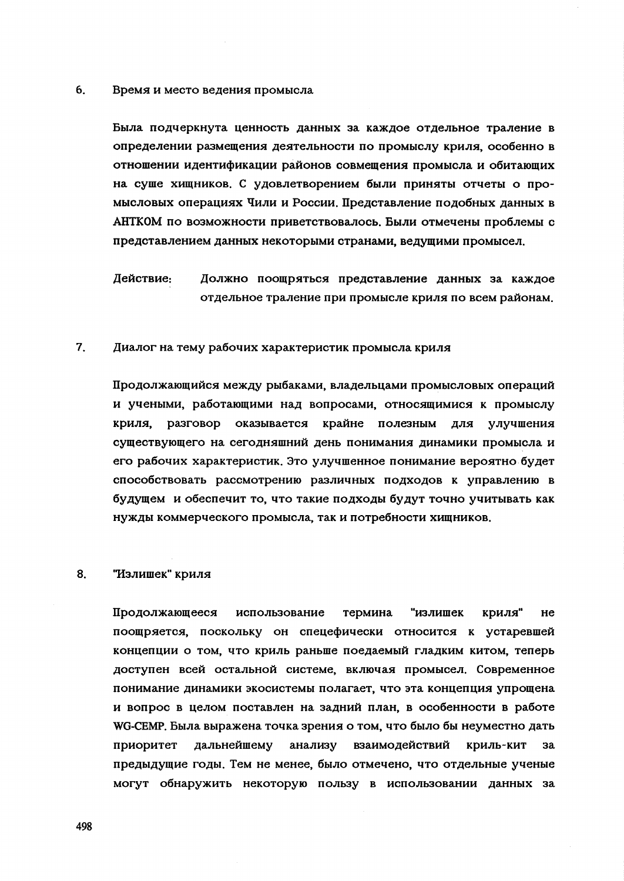#### $6<sub>1</sub>$ Время и место ведения промысла

Была подчеркнута ценность данных за каждое отдельное траление в определении размещения деятельности по промыслу криля, особенно в отношении идентификации районов совмещения промысла и обитающих на суще хищников. С удовлетворением были приняты отчеты о промысловых операциях Чили и России. Представление подобных данных в АНТКОМ по возможности приветствовалось. Были отмечены проблемы с представлением данных некоторыми странами, ведущими промысел.

Действие: Должно поощряться представление данных за каждое отдельное траление при промысле криля по всем районам.

#### $7<sub>1</sub>$ Диалог на тему рабочих характеристик промысла криля

Продолжающийся между рыбаками, владельцами промысловых операций и учеными, работающими над вопросами, относящимися к промыслу криля. разговор оказывается крайне полезным для улучшения существующего на сегодняшний день понимания динамики промысла и его рабочих характеристик. Это улучшенное понимание вероятно будет способствовать рассмотрению различных подходов к управлению в будущем и обеспечит то, что такие подходы будут точно учитывать как нужды коммерческого промысла, так и потребности хищников.

#### 8. "Излишек" криля

Продолжающееся использование термина "излишек криля"  $He$ поощряется, поскольку он спецефически относится к устаревшей концепции о том, что криль раньше поедаемый гладким китом, теперь доступен всей остальной системе, включая промысел. Современное понимание динамики экосистемы полагает, что эта концепция упрощена и вопрос в целом поставлен на задний план, в особенности в работе WG-CEMP. Была выражена точка зрения о том, что было бы неуместно дать приоритет дальнейшему анализу взаимодействий криль-кит за предыдущие годы. Тем не менее, было отмечено, что отдельные ученые могут обнаружить некоторую пользу в использовании данных за

498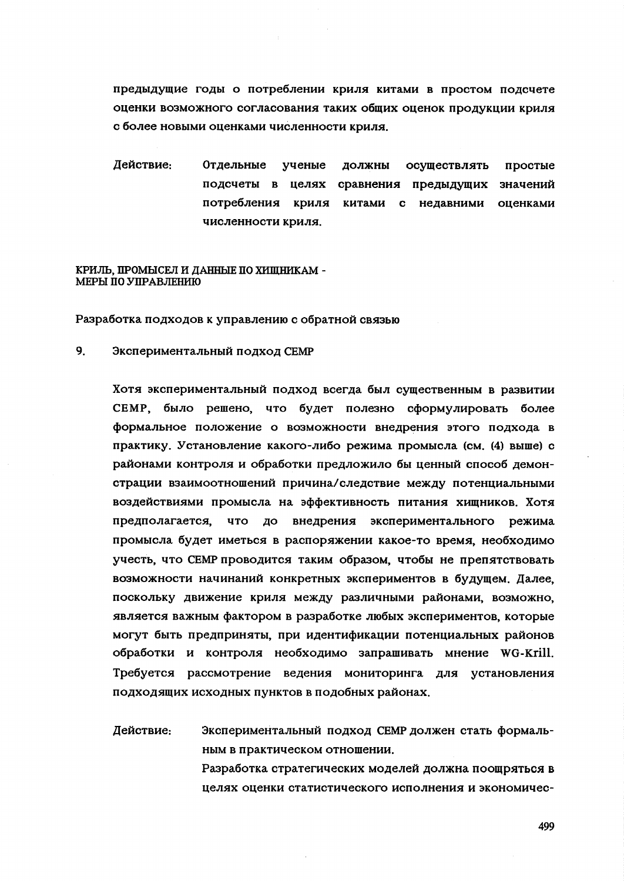предыдущие годы о потреблении криля китами в простом подсчете оценки возможного согласования таких общих оценок продукции криля с более новыми оценками численности криля.

Действие: Отдельные ученые ДОЛЖНЫ осуществлять простые подсчеты в целях сравнения предыдущих значений потребления криля китами с недавними опенками численности криля.

### КРИЛЬ, ПРОМЫСЕЛ И ДАННЫЕ ПО ХИШНИКАМ -МЕРЫ ПО УПРАВЛЕНИЮ

Разработка подходов к управлению с обратной связью

 $9<sub>1</sub>$ Экспериментальный подход СЕМР

> Хотя экспериментальный подход всегда был существенным в развитии СЕМР, было решено, что будет полезно сформулировать более формальное положение о возможности внедрения этого подхода в практику. Установление какого-либо режима промысла (см. (4) выше) с районами контроля и обработки предложило бы ценный способ демонстрации взаимоотношений причина/следствие между потенциальными воздействиями промысла на эффективность питания хищников. Хотя предполагается, что до внедрения экспериментального режима промысла будет иметься в распоряжении какое-то время, необходимо учесть, что СЕМР проводится таким образом, чтобы не препятствовать возможности начинаний конкретных экспериментов в будущем. Далее, поскольку движение криля между различными районами, возможно, является важным фактором в разработке любых экспериментов, которые могут быть предприняты, при идентификации потенциальных районов обработки и контроля необходимо запрашивать мнение WG-Krill. Требуется рассмотрение ведения мониторинга для установления подходящих исходных пунктов в подобных районах.

> Действие: Экспериментальный подход СЕМР должен стать формальным в практическом отношении.

Разработка стратегических моделей должна поощряться в целях оценки статистического исполнения и экономичес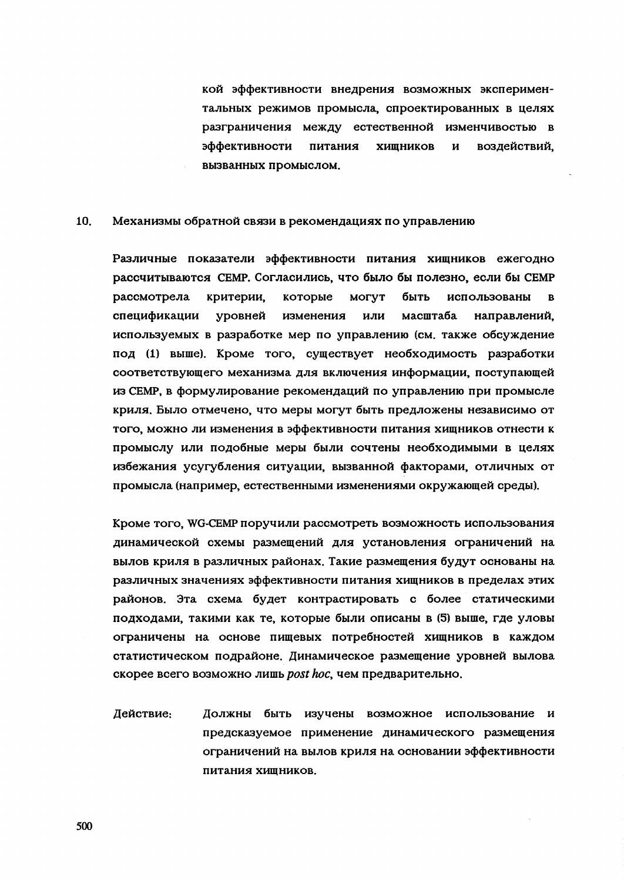кой эффективности внедрения возможных экспериментальных режимов промысла, спроектированных в целях разграничения между естественной изменчивостью в эффективности питания ХИШНИКОВ воздействий.  $\overline{M}$ вызванных промыслом.

#### $10<sub>1</sub>$ Механизмы обратной связи в рекомендациях по управлению

Различные показатели эффективности питания хищников ежегодно рассчитываются СЕМР. Согласились, что было бы полезно, если бы СЕМР рассмотрела критерии, которые **MOLAT** быть использованы  $\mathbf{B}$ спецификации уровней масштаба изменения или направлений. используемых в разработке мер по управлению (см. также обсуждение под (1) выше). Кроме того, существует необходимость разработки соответствующего механизма для включения информации, поступающей из СЕМР, в формулирование рекомендаций по управлению при промысле криля. Было отмечено, что меры могут быть предложены независимо от того, можно ли изменения в эффективности питания хищников отнести к промыслу или подобные меры были сочтены необходимыми в целях избежания усугубления ситуации, вызванной факторами, отличных от промысла (например, естественными изменениями окружающей среды).

Кроме того, WG-CEMP поручили рассмотреть возможность использования динамической схемы размещений для установления ограничений на вылов криля в различных районах. Такие размещения будут основаны на различных значениях эффективности питания хищников в пределах этих районов. Эта схема будет контрастировать с более статическими подходами, такими как те, которые были описаны в (5) выше, где уловы ограничены на основе пищевых потребностей хищников в каждом статистическом подрайоне. Динамическое размещение уровней вылова скорее всего возможно лишь post hoc, чем предварительно.

Действие: Должны быть изучены возможное использование и предсказуемое применение динамического размещения ограничений на вылов криля на основании эффективности питания хищников.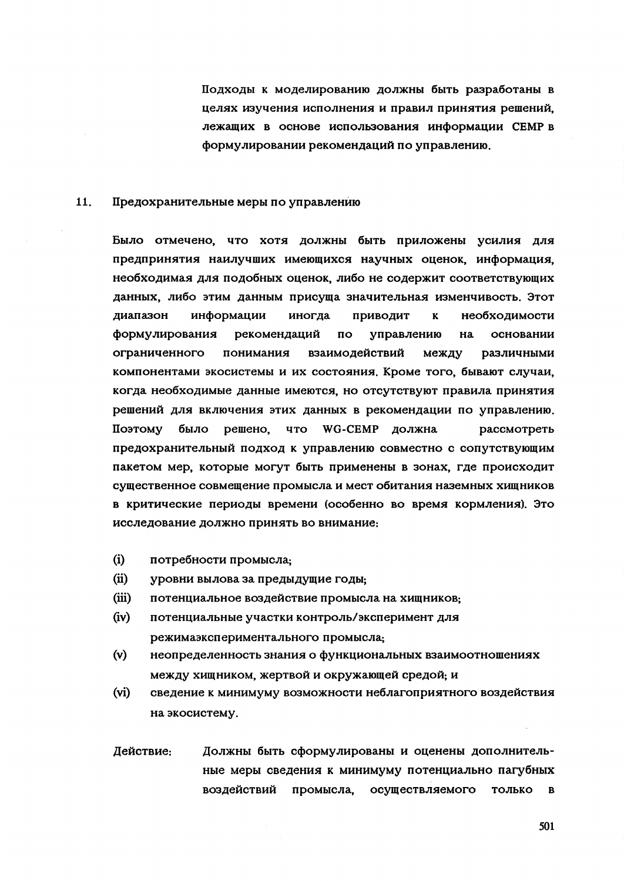Подходы к моделированию должны быть разработаны в целях изучения исполнения и правил принятия решений. лежащих в основе использования информации СЕМР в формулировании рекомендаций по управлению.

#### $11.$ Предохранительные меры по управлению

Было отмечено, что хотя должны быть приложены усилия для предпринятия наилучших имеющихся научных оценок, информация, необходимая для подобных оценок, либо не содержит соответствующих данных, либо этим данным присуща значительная изменчивость. Этот диапазон информации иногда приводит  $\mathbf{K}$ необходимости формулирования рекомендаций  $\overline{a}$ управлению Ha основании ограниченного понимания взаимодействий между различными компонентами экосистемы и их состояния. Кроме того, бывают случаи, когда необходимые данные имеются, но отсутствуют правила принятия решений для включения этих данных в рекомендации по управлению. решено. Поэтому было **UTO** WG-CEMP должна рассмотреть предохранительный подход к управлению совместно с сопутствующим пакетом мер, которые могут быть применены в зонах, где происходит существенное совмещение промысла и мест обитания наземных хищников в критические периоды времени (особенно во время кормления). Это исследование должно принять во внимание:

- $(i)$ потребности промысла.
- $(ii)$ уровни вылова за предыдущие годы.
- $(iii)$ потенциальное воздействие промысла на хищников;
- $(iv)$ потенциальные участки контроль/эксперимент для режимаэкспериментального промысла.
- $(v)$ неопределенность знания о функциональных взаимоотношениях между хищником, жертвой и окружающей средой; и
- $(vi)$ сведение к минимуму возможности неблагоприятного воздействия на экосистему.
- Действие: Должны быть сформулированы и оценены дополнительные меры сведения к минимуму потенциально пагубных воздействий осуществляемого промысла, ТОЛЬКО  $\mathbf{R}$

501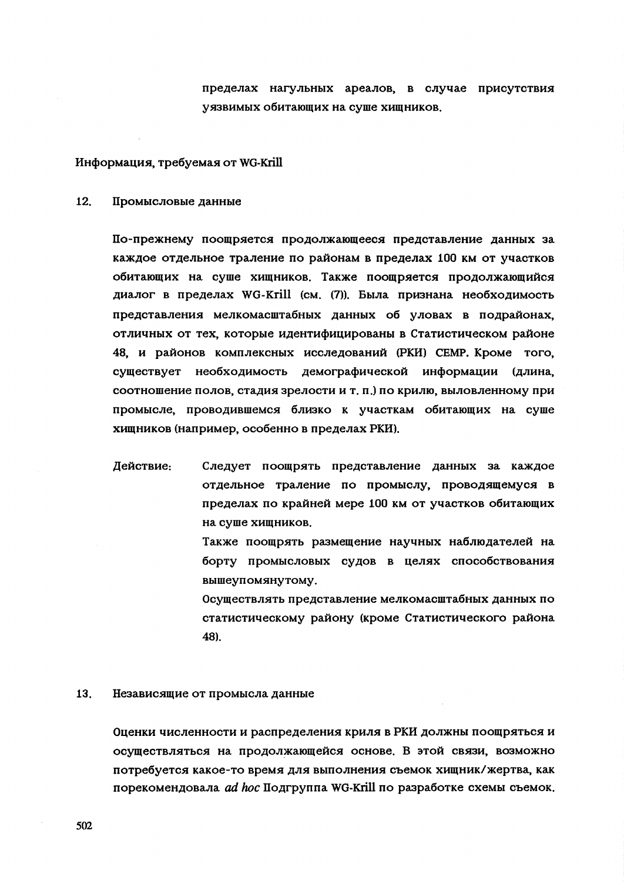пределах нагульных ареалов, в случае присутствия уязвимых обитающих на суше хишников.

### Информация, требуемая от WG-Krill

#### 12. Промысловые данные

По-прежнему поощряется продолжающееся представление данных за каждое отдельное траление по районам в пределах 100 км от участков обитающих на суше хищников. Также поощряется продолжающийся диалог в пределах WG-Krill (см. (7)). Была признана необходимость представления мелкомасштабных данных об уловах в подрайонах, отличных от тех, которые идентифицированы в Статистическом районе 48, и районов комплексных исследований (РКИ) СЕМР. Кроме того, существует необходимость демографической информации (длина, соотношение полов, стадия зрелости и т. п.) по крилю, выловленному при промысле, проводившемся близко к участкам обитающих на суше хищников (например, особенно в пределах РКИ).

Действие: Следует поощрять представление данных за каждое отдельное траление по промыслу, проводящемуся в пределах по крайней мере 100 км от участков обитающих на суше хищников.

> Также поощрять размещение научных наблюдателей на борту промысловых судов в целях способствования вышеупомянутому.

> Осуществлять представление мелкомасштабных данных по статистическому району (кроме Статистического района 48).

#### 13. Независящие от промысла данные

Оценки численности и распределения криля в РКИ должны поощряться и осуществляться на продолжающейся основе. В этой связи, возможно потребуется какое-то время для выполнения съемок хищник/жертва, как порекомендовала ad hoc Подгруппа WG-Krill по разработке схемы съемок.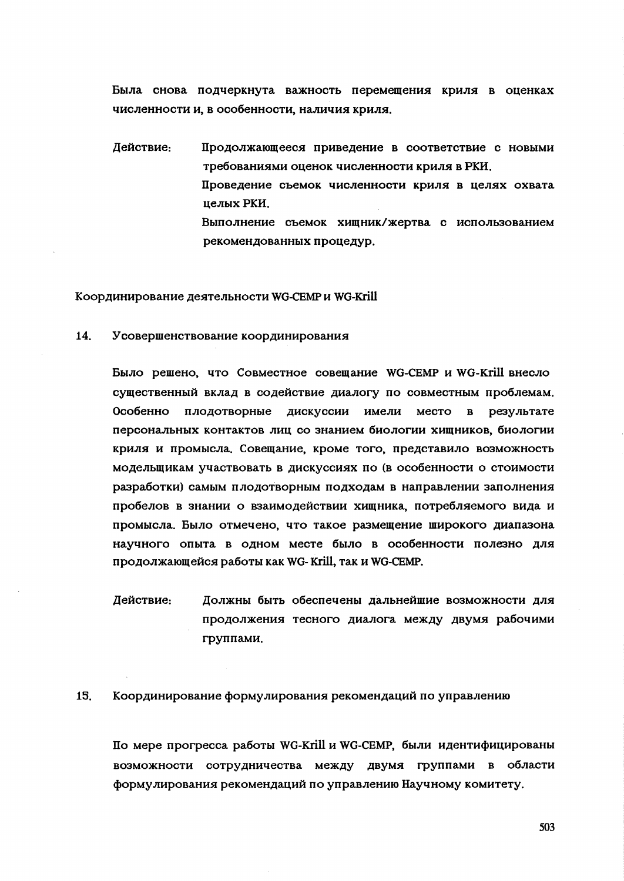Была снова подчеркнута важность перемещения криля в оценках численности и, в особенности, наличия криля,

Действие: Продолжающееся приведение в соответствие с новыми требованиями оценок численности криля в РКИ. Проведение съемок численности криля в целях охвата нелых РКИ Выполнение съемок хищник/жертва с использованием рекомендованных процедур.

Координирование деятельности WG-CEMP и WG-Krill

14. Усовершенствование координирования

> Было решено, что Совместное совещание WG-CEMP и WG-Krill внесло существенный вклад в содействие диалогу по совместным проблемам. лискуссии Особенно ПЛОДОТВОРНЫЕ имели место  $\mathbf{B}$ результате персональных контактов лиц со знанием биологии хищников, биологии криля и промысла. Совещание, кроме того, представило возможность модельщикам участвовать в дискуссиях по (в особенности о стоимости разработки) самым плодотворным подходам в направлении заполнения пробелов в знании о взаимодействии хищника, потребляемого вида и промысла. Было отмечено, что такое размещение широкого диапазона научного опыта в одном месте было в особенности полезно для продолжающейся работы как WG-Krill, так и WG-CEMP.

> Действие: Должны быть обеспечены дальнейшие возможности для продолжения тесного диалога между двумя рабочими группами.

#### 15. Координирование формулирования рекомендаций по управлению

По мере прогресса работы WG-Krill и WG-CEMP, были идентифицированы возможности сотрудничества между двумя группами в области формулирования рекомендаций по управлению Научному комитету.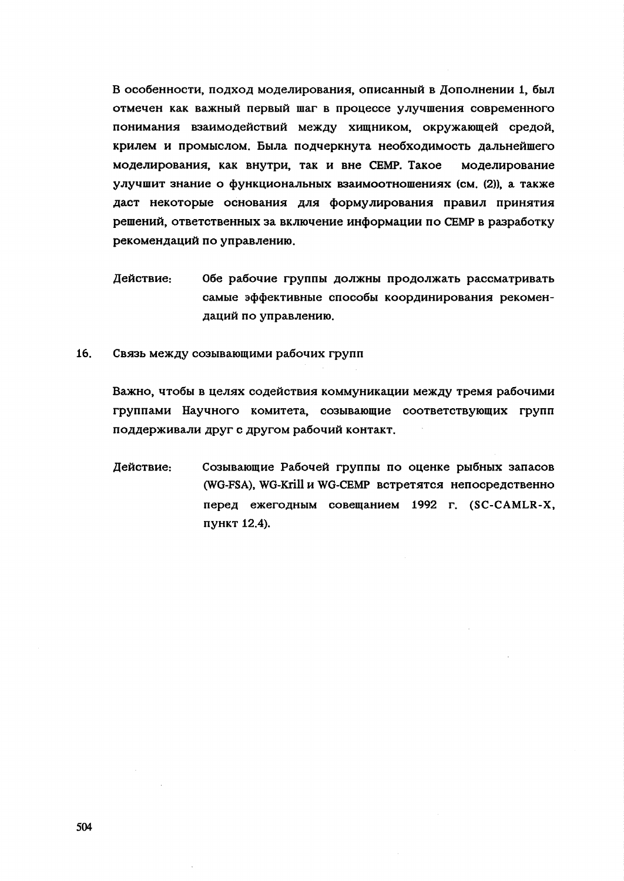В особенности, подход моделирования, описанный в Дополнении 1, был отмечен как важный первый шаг в процессе улучшения современного понимания взаимодействий между хищником, окружающей средой, крилем и промыслом. Была подчеркнута необходимость дальнейшего моделирования, как внутри, так и вне СЕМР. Такое моделирование улучшит знание о функциональных взаимоотношениях (см. (2)), а также даст некоторые основания для формулирования правил принятия решений, ответственных за включение информации по СЕМР в разработку рекомендаций по управлению.

- Действие: Обе рабочие группы должны продолжать рассматривать самые эффективные способы координирования рекомендаций по управлению.
- $16<sub>1</sub>$ Связь между созывающими рабочих групп

Важно, чтобы в целях содействия коммуникации между тремя рабочими группами Научного комитета, созывающие соответствующих групп поддерживали друг с другом рабочий контакт.

Действие: Созывающие Рабочей группы по оценке рыбных запасов (WG-FSA), WG-Krill и WG-CEMP встретятся непосредственно перед ежегодным совещанием 1992 г. (SC-CAMLR-X, пункт 12.4).